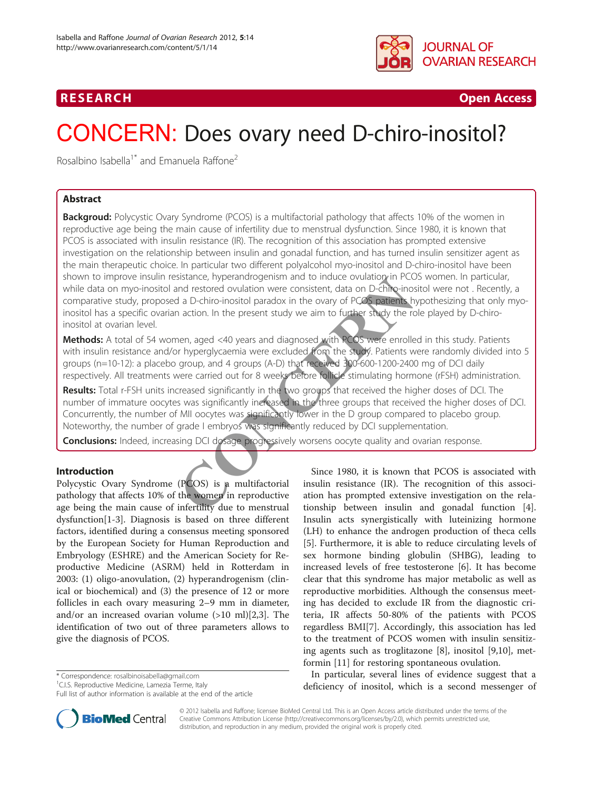

# R E S EAR CH Open Access

# CONCERN: Does ovary need D-chiro-inositol?

Rosalbino Isabella<sup>1\*</sup> and Emanuela Raffone<sup>2</sup>

## Abstract

**Backgroud:** Polycystic Ovary Syndrome (PCOS) is a multifactorial pathology that affects 10% of the women in reproductive age being the main cause of infertility due to menstrual dysfunction. Since 1980, it is known that PCOS is associated with insulin resistance (IR). The recognition of this association has prompted extensive investigation on the relationship between insulin and gonadal function, and has turned insulin sensitizer agent as the main therapeutic choice. In particular two different polyalcohol myo-inositol and D-chiro-inositol have been shown to improve insulin resistance, hyperandrogenism and to induce ovulation in PCOS women. In particular, while data on myo-inositol and restored ovulation were consistent, data on D-chiro-inositol were not . Recently, a comparative study, proposed a D-chiro-inositol paradox in the ovary of PCOS patients hypothesizing that only myoinositol has a specific ovarian action. In the present study we aim to further study the role played by D-chiroinositol at ovarian level. Sistance, nyperandrogenism and to induce ovulation in PCC<br>
In a D-chiro-inositol paradox in the ovary of PCOS patients h<br>
a a D-chiro-inositol paradox in the ovary of PCOS patients h<br>
a action. In the present study we aim

Methods: A total of 54 women, aged <40 years and diagnosed with PCOS were enrolled in this study. Patients with insulin resistance and/or hyperglycaemia were excluded from the study. Patients were randomly divided into 5 groups (n=10-12): a placebo group, and 4 groups (A-D) that received 300-600-1200-2400 mg of DCI daily respectively. All treatments were carried out for 8 weeks before follicle stimulating hormone (rFSH) administration.

Results: Total r-FSH units increased significantly in the two groups that received the higher doses of DCI. The number of immature oocytes was significantly increased in the three groups that received the higher doses of DCI. Concurrently, the number of MII oocytes was significantly lower in the D group compared to placebo group. Noteworthy, the number of grade I embryos was significantly reduced by DCI supplementation.

Conclusions: Indeed, increasing DCI dosage progressively worsens oocyte quality and ovarian response.

### Introduction

Polycystic Ovary Syndrome (PCOS) is a multifactorial pathology that affects 10% of the women in reproductive age being the main cause of infertility due to menstrual dysfunction[\[1](#page-4-0)-[3\]](#page-4-0). Diagnosis is based on three different factors, identified during a consensus meeting sponsored by the European Society for Human Reproduction and Embryology (ESHRE) and the American Society for Reproductive Medicine (ASRM) held in Rotterdam in 2003: (1) oligo-anovulation, (2) hyperandrogenism (clinical or biochemical) and (3) the presence of 12 or more follicles in each ovary measuring 2–9 mm in diameter, and/or an increased ovarian volume  $(>10 \text{ ml})[2,3]$  $(>10 \text{ ml})[2,3]$ . The identification of two out of three parameters allows to give the diagnosis of PCOS.

\* Correspondence: [rosalbinoisabella@gmail.com](mailto:rosalbinoisabella@gmail.com) <sup>1</sup>

Since 1980, it is known that PCOS is associated with insulin resistance (IR). The recognition of this association has prompted extensive investigation on the relationship between insulin and gonadal function [\[4](#page-4-0)]. Insulin acts synergistically with luteinizing hormone (LH) to enhance the androgen production of theca cells [[5\]](#page-4-0). Furthermore, it is able to reduce circulating levels of sex hormone binding globulin (SHBG), leading to increased levels of free testosterone [\[6](#page-4-0)]. It has become clear that this syndrome has major metabolic as well as reproductive morbidities. Although the consensus meeting has decided to exclude IR from the diagnostic criteria, IR affects 50-80% of the patients with PCOS regardless BMI[[7\]](#page-4-0). Accordingly, this association has led to the treatment of PCOS women with insulin sensitizing agents such as troglitazone [[8\]](#page-4-0), inositol [\[9,10](#page-4-0)], metformin [[11](#page-4-0)] for restoring spontaneous ovulation.

In particular, several lines of evidence suggest that a deficiency of inositol, which is a second messenger of



© 2012 Isabella and Raffone; licensee BioMed Central Ltd. This is an Open Access article distributed under the terms of the Creative Commons Attribution License (<http://creativecommons.org/licenses/by/2.0>), which permits unrestricted use, distribution, and reproduction in any medium, provided the original work is properly cited.

<sup>&</sup>lt;sup>1</sup>C.I.S. Reproductive Medicine, Lamezia Terme, Italy

Full list of author information is available at the end of the article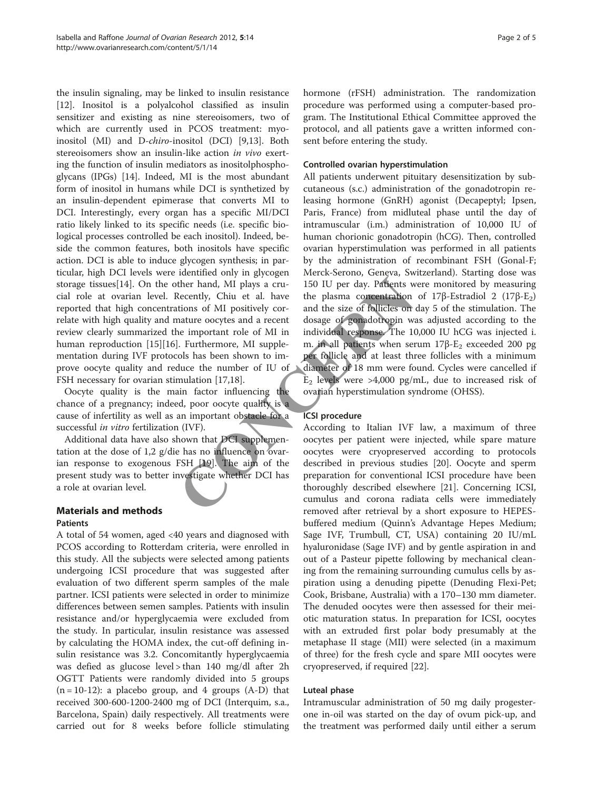the insulin signaling, may be linked to insulin resistance [[12\]](#page-4-0). Inositol is a polyalcohol classified as insulin sensitizer and existing as nine stereoisomers, two of which are currently used in PCOS treatment: myoinositol (MI) and D-chiro-inositol (DCI) [[9,13\]](#page-4-0). Both stereoisomers show an insulin-like action in vivo exerting the function of insulin mediators as inositolphosphoglycans (IPGs) [[14](#page-4-0)]. Indeed, MI is the most abundant form of inositol in humans while DCI is synthetized by an insulin-dependent epimerase that converts MI to DCI. Interestingly, every organ has a specific MI/DCI ratio likely linked to its specific needs (i.e. specific biological processes controlled be each inositol). Indeed, beside the common features, both inositols have specific action. DCI is able to induce glycogen synthesis; in particular, high DCI levels were identified only in glycogen storage tissues[[14\]](#page-4-0). On the other hand, MI plays a crucial role at ovarian level. Recently, Chiu et al. have reported that high concentrations of MI positively correlate with high quality and mature oocytes and a recent review clearly summarized the important role of MI in human reproduction [\[15\]\[16](#page-4-0)]. Furthermore, MI supplementation during IVF protocols has been shown to improve oocyte quality and reduce the number of IU of FSH necessary for ovarian stimulation [17,18].

Oocyte quality is the main factor influencing the chance of a pregnancy; indeed, poor oocyte quality is a cause of infertility as well as an important obstacle for a successful *in vitro* fertilization (IVF).

Additional data have also shown that DCI supplementation at the dose of 1,2 g/die has no influence on ovarian response to exogenous FSH [[19\]](#page-4-0). The aim of the present study was to better investigate whether DCI has a role at ovarian level.

# Materials and methods

#### Patients

A total of 54 women, aged <40 years and diagnosed with PCOS according to Rotterdam criteria, were enrolled in this study. All the subjects were selected among patients undergoing ICSI procedure that was suggested after evaluation of two different sperm samples of the male partner. ICSI patients were selected in order to minimize differences between semen samples. Patients with insulin resistance and/or hyperglycaemia were excluded from the study. In particular, insulin resistance was assessed by calculating the HOMA index, the cut-off defining insulin resistance was 3.2. Concomitantly hyperglycaemia was defied as glucose level > than 140 mg/dl after 2h OGTT Patients were randomly divided into 5 groups  $(n = 10-12)$ : a placebo group, and 4 groups  $(A-D)$  that received 300-600-1200-2400 mg of DCI (Interquim, s.a., Barcelona, Spain) daily respectively. All treatments were carried out for 8 weeks before follicle stimulating hormone (rFSH) administration. The randomization procedure was performed using a computer-based program. The Institutional Ethical Committee approved the protocol, and all patients gave a written informed consent before entering the study.

#### Controlled ovarian hyperstimulation

All patients underwent pituitary desensitization by subcutaneous (s.c.) administration of the gonadotropin releasing hormone (GnRH) agonist (Decapeptyl; Ipsen, Paris, France) from midluteal phase until the day of intramuscular (i.m.) administration of 10,000 IU of human chorionic gonadotropin (hCG). Then, controlled ovarian hyperstimulation was performed in all patients by the administration of recombinant FSH (Gonal-F; Merck-Serono, Geneva, Switzerland). Starting dose was 150 IU per day. Patients were monitored by measuring the plasma concentration of 17β-Estradiol 2 (17β-E<sub>2</sub>) and the size of follicles on day 5 of the stimulation. The dosage of gonadotropin was adjusted according to the individual response. The 10,000 IU hCG was injected i. m. in all patients when serum  $17β$ - $E_2$  exceeded 200 pg per follicle and at least three follicles with a minimum diameter of 18 mm were found. Cycles were cancelled if  $E_2$  levels were >4,000 pg/mL, due to increased risk of ovarian hyperstimulation syndrome (OHSS). The thermand, MI plays a cru-<br>
Recently, Chiu et al. have the plasma concentration<br>
Recently, Chiu et al. have the plasma concentration<br>
tions of MI positively cor-<br>
and the size of follicles on<br>
mature occytes and a recen

#### ICSI procedure

According to Italian IVF law, a maximum of three oocytes per patient were injected, while spare mature oocytes were cryopreserved according to protocols described in previous studies [\[20](#page-4-0)]. Oocyte and sperm preparation for conventional ICSI procedure have been thoroughly described elsewhere [[21](#page-4-0)]. Concerning ICSI, cumulus and corona radiata cells were immediately removed after retrieval by a short exposure to HEPESbuffered medium (Quinn's Advantage Hepes Medium; Sage IVF, Trumbull, CT, USA) containing 20 IU/mL hyaluronidase (Sage IVF) and by gentle aspiration in and out of a Pasteur pipette following by mechanical cleaning from the remaining surrounding cumulus cells by aspiration using a denuding pipette (Denuding Flexi-Pet; Cook, Brisbane, Australia) with a 170–130 mm diameter. The denuded oocytes were then assessed for their meiotic maturation status. In preparation for ICSI, oocytes with an extruded first polar body presumably at the metaphase II stage (MII) were selected (in a maximum of three) for the fresh cycle and spare MII oocytes were cryopreserved, if required [[22\]](#page-4-0).

#### Luteal phase

Intramuscular administration of 50 mg daily progesterone in-oil was started on the day of ovum pick-up, and the treatment was performed daily until either a serum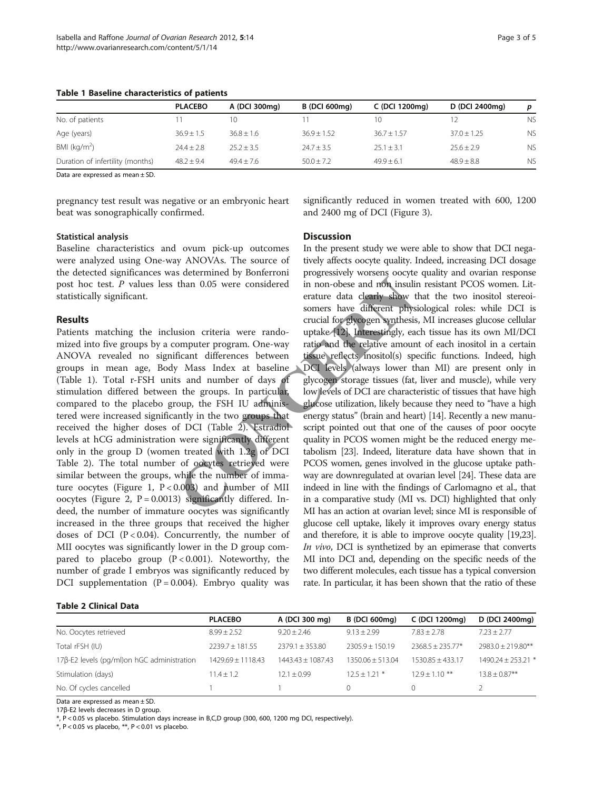|                                  | <b>PLACEBO</b> | A (DCI 300mg) | <b>B</b> (DCI 600mg) | C (DCI 1200mg)  | D (DCI 2400mg)  |           |
|----------------------------------|----------------|---------------|----------------------|-----------------|-----------------|-----------|
| No. of patients                  |                | 10            |                      | 10              |                 | <b>NS</b> |
| Age (years)                      | $36.9 \pm 1.5$ | $36.8 + 1.6$  | $36.9 \pm 1.52$      | $36.7 \pm 1.57$ | $37.0 \pm 1.25$ | <b>NS</b> |
| BMI (kg/m <sup>2</sup> )         | $74.4 + 7.8$   | $25.2 + 3.5$  | $74.7 + 3.5$         | $25.1 + 3.1$    | $25.6 + 2.9$    | <b>NS</b> |
| Duration of infertility (months) | $48.2 \pm 9.4$ | $49.4 + 7.6$  | $50.0 + 7.2$         | $49.9 + 6.1$    | $48.9 + 8.8$    | <b>NS</b> |

**Discussion** 

Table 1 Baseline characteristics of patients

Data are expressed as mean ± SD.

pregnancy test result was negative or an embryonic heart beat was sonographically confirmed.

# significantly reduced in women treated with 600, 1200 and 2400 mg of DCI (Figure [3](#page-3-0)).

#### Statistical analysis

Baseline characteristics and ovum pick-up outcomes were analyzed using One-way ANOVAs. The source of the detected significances was determined by Bonferroni post hoc test. P values less than 0.05 were considered statistically significant.

#### Results

Patients matching the inclusion criteria were randomized into five groups by a computer program. One-way ANOVA revealed no significant differences between groups in mean age, Body Mass Index at baseline (Table 1). Total r-FSH units and number of days of stimulation differed between the groups. In particular, compared to the placebo group, the FSH IU administered were increased significantly in the two groups that received the higher doses of DCI (Table 2). Estradiol levels at hCG administration were significantly different only in the group D (women treated with 1.2g of DCI Table 2). The total number of oocytes retrieved were similar between the groups, while the number of imma-ture oocytes (Figure [1,](#page-3-0)  $P < 0.003$ ) and number of MII oocytes (Figure [2,](#page-3-0)  $P = 0.0013$ ) significantly differed. Indeed, the number of immature oocytes was significantly increased in the three groups that received the higher doses of DCI  $(P < 0.04)$ . Concurrently, the number of MII oocytes was significantly lower in the D group compared to placebo group  $(P < 0.001)$ . Noteworthy, the number of grade I embryos was significantly reduced by DCI supplementation ( $P = 0.004$ ). Embryo quality was

# In the present study we were able to show that DCI negatively affects oocyte quality. Indeed, increasing DCI dosage progressively worsens oocyte quality and ovarian response in non-obese and non insulin resistant PCOS women. Literature data clearly show that the two inositol stereoisomers have different physiological roles: while DCI is

crucial for glycogen synthesis, MI increases glucose cellular uptake [[12](#page-4-0)]. Interestingly, each tissue has its own MI/DCI ratio and the relative amount of each inositol in a certain tissue reflects inositol(s) specific functions. Indeed, high DCI levels (always lower than MI) are present only in glycogen storage tissues (fat, liver and muscle), while very low levels of DCI are characteristic of tissues that have high glucose utilization, likely because they need to "have a high energy status" (brain and heart) [[14](#page-4-0)]. Recently a new manuscript pointed out that one of the causes of poor oocyte quality in PCOS women might be the reduced energy metabolism [23]. Indeed, literature data have shown that in PCOS women, genes involved in the glucose uptake pathway are downregulated at ovarian level [[24](#page-4-0)]. These data are indeed in line with the findings of Carlomagno et al., that in a comparative study (MI vs. DCI) highlighted that only MI has an action at ovarian level; since MI is responsible of glucose cell uptake, likely it improves ovary energy status and therefore, it is able to improve oocyte quality [[19,23](#page-4-0)]. In vivo, DCI is synthetized by an epimerase that converts MI into DCI and, depending on the specific needs of the two different molecules, each tissue has a typical conversion rate. In particular, it has been shown that the ratio of these than 0.05 were considered in non-obese and non insulinear<br>ture data clearly show two somers have different physocrucial for glycogen synthesis<br>sion criteria were rando-<br>uptake-12}. Interestingly, ea<br>omputer program. One-wa

#### Table 2 Clinical Data

|                                            | <b>PLACEBO</b>    | A (DCI 300 mg)      | <b>B</b> (DCI 600ma) | C (DCI 1200mg)     | D (DCI 2400mg)       |
|--------------------------------------------|-------------------|---------------------|----------------------|--------------------|----------------------|
| No. Oocytes retrieved                      | $8.99 + 2.52$     | $9.20 + 2.46$       | $9.13 + 2.99$        | $7.83 + 2.78$      | $7.23 + 2.77$        |
| Total rFSH (IU)                            | $2239.7 + 181.55$ | $2379.1 + 353.80$   | $2305.9 + 150.19$    | $2368.5 + 235.77*$ | $7983.0 + 719.80**$  |
| 17β-E2 levels (pg/ml)on hGC administration | 1429.69 ± 1118.43 | $1443.43 + 1087.43$ | $1350.06 + 513.04$   | $1530.85 + 433.17$ | $1490.24 + 253.21$ * |
| Stimulation (days)                         | $11.4 + 1.2$      | $12.1 + 0.99$       | $12.5 + 1.21$ *      | $12.9 + 1.10$ **   | $13.8 + 0.87**$      |
| No. Of cycles cancelled                    |                   |                     |                      |                    |                      |

Data are expressed as mean ± SD.

17β-E2 levels decreases in D group.

\*, P < 0.05 vs placebo. Stimulation days increase in B,C,D group (300, 600, 1200 mg DCI, respectively).

\*, P < 0.05 vs placebo, \*\*, P < 0.01 vs placebo.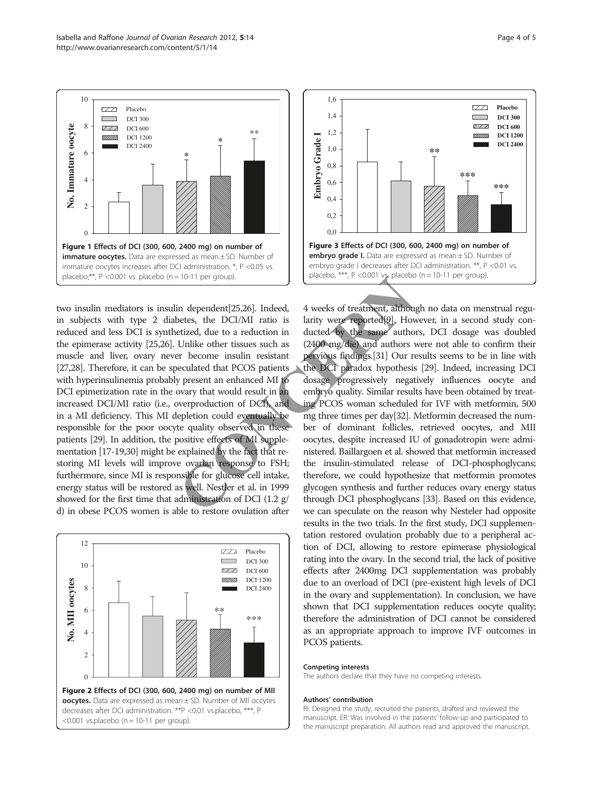<span id="page-3-0"></span>

two insulin mediators is insulin dependent[25,26]. Indeed, in subjects with type 2 diabetes, the DCI/MI ratio is reduced and less DCI is synthetized, due to a reduction in the epimerase activity [\[25,26](#page-4-0)]. Unlike other tissues such as muscle and liver, ovary never become insulin resistant [[27,28\]](#page-4-0). Therefore, it can be speculated that PCOS patients with hyperinsulinemia probably present an enhanced MI to DCI epimerization rate in the ovary that would result in an increased DCI/MI ratio (i.e., overproduction of DCI), and in a MI deficiency. This MI depletion could eventually be responsible for the poor oocyte quality observed in these patients [\[29\]](#page-4-0). In addition, the positive effects of MI supplementation [\[17-19,30](#page-4-0)] might be explained by the fact that restoring MI levels will improve ovarian response to FSH; furthermore, since MI is responsible for glucose cell intake, energy status will be restored as well. Nestler et al. in 1999 showed for the first time that administration of DCI (1.2 g/ d) in obese PCOS women is able to restore ovulation after FIGHT per group).<br>
in dependent[25,26]. Indeed, 4 weeks of treatment, althou,<br>
bettzed, due to a reduction in ducted by the same autho<br>
Unlike other tissues such as<br>
C2400 mg/die) and authors v<br>
er become insulin resistant





4 weeks of treatment, although no data on menstrual regularity were reported[\[9\]](#page-4-0). However, in a second study conducted by the same authors, DCI dosage was doubled (2400 mg/die) and authors were not able to confirm their pervious findings.[\[31\]](#page-4-0) Our results seems to be in line with the DCI paradox hypothesis [\[29\]](#page-4-0). Indeed, increasing DCI dosage progressively negatively influences oocyte and embryo quality. Similar results have been obtained by treating PCOS woman scheduled for IVF with metformin, 500 mg three times per day[32]. Metformin decreased the number of dominant follicles, retrieved oocytes, and MII oocytes, despite increased IU of gonadotropin were administered. Baillargoen et al. showed that metformin increased the insulin-stimulated release of DCI-phosphoglycans; therefore, we could hypothesize that metformin promotes glycogen synthesis and further reduces ovary energy status through DCI phosphoglycans [[33](#page-4-0)]. Based on this evidence, we can speculate on the reason why Nesteler had opposite results in the two trials. In the first study, DCI supplementation restored ovulation probably due to a peripheral action of DCI, allowing to restore epimerase physiological rating into the ovary. In the second trial, the lack of positive effects after 2400mg DCI supplementation was probably due to an overload of DCI (pre-existent high levels of DCI in the ovary and supplementation). In conclusion, we have shown that DCI supplementation reduces oocyte quality; therefore the administration of DCI cannot be considered as an appropriate approach to improve IVF outcomes in PCOS patients.

#### Competing interests

The authors declare that they have no competing interests.

#### Authors' contribution

RI: Designed the study, recruited the patients, drafted and reviewed the manuscript. ER: Was involved in the patients' follow-up and participated to the manuscript preparation. All authors read and approved the manuscript.